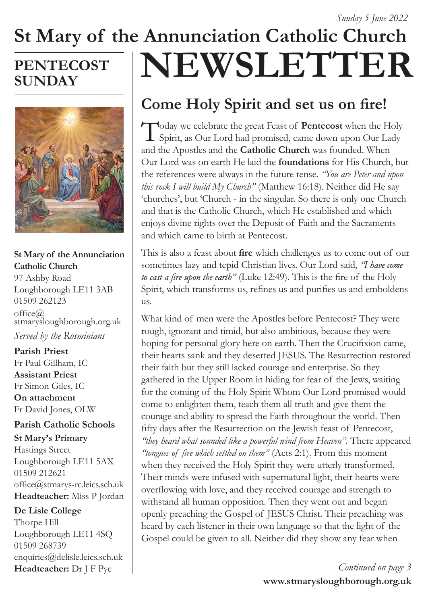# **St Mary of the Annunciation Catholic Church NEWSLETTER**

# **PENTECOST SUNDAY**



#### **St Mary of the Annunciation Catholic Church**

97 Ashby Road Loughborough LE11 3AB 01509 262123  $offce@$ stmarysloughborough.org.uk *Served by the Rosminians*

#### **Parish Priest**  Fr Paul Gillham, IC **Assistant Priest**  Fr Simon Giles, IC **On attachment**  Fr David Jones, OLW

# **Parish Catholic Schools**

**St Mary's Primary** Hastings Street Loughborough LE11 5AX 01509 212621 office@stmarys-rc.leics.sch.uk **Headteacher:** Miss P Jordan

#### **De Lisle College**

Thorpe Hill Loughborough LE11 4SQ 01509 268739 enquiries@delisle.leics.sch.uk **Headteacher:** Dr J F Pye

# **Come Holy Spirit and set us on fire!**

Today we celebrate the great Feast of **Pentecost** when the Holy Spirit, as Our Lord had promised, came down upon Our Lady and the Apostles and the **Catholic Church** was founded. When Our Lord was on earth He laid the **foundations** for His Church, but the references were always in the future tense. *"You are Peter and upon this rock I will build My Church"* (Matthew 16:18). Neither did He say 'churches', but 'Church - in the singular. So there is only one Church and that is the Catholic Church, which He established and which enjoys divine rights over the Deposit of Faith and the Sacraments and which came to birth at Pentecost.

This is also a feast about **fire** which challenges us to come out of our sometimes lazy and tepid Christian lives. Our Lord said, *"I have come to cast a fire upon the earth"* (Luke 12:49). This is the fire of the Holy Spirit, which transforms us, refines us and purifies us and emboldens us.

What kind of men were the Apostles before Pentecost? They were rough, ignorant and timid, but also ambitious, because they were hoping for personal glory here on earth. Then the Crucifixion came, their hearts sank and they deserted JESUS. The Resurrection restored their faith but they still lacked courage and enterprise. So they gathered in the Upper Room in hiding for fear of the Jews, waiting for the coming of the Holy Spirit Whom Our Lord promised would come to enlighten them, teach them all truth and give them the courage and ability to spread the Faith throughout the world. Then fifty days after the Resurrection on the Jewish feast of Pentecost, *"they heard what sounded like a powerful wind from Heaven".* There appeared *"tongues of fire which settled on them"* (Acts 2:1). From this moment when they received the Holy Spirit they were utterly transformed. Their minds were infused with supernatural light, their hearts were overflowing with love, and they received courage and strength to withstand all human opposition. Then they went out and began openly preaching the Gospel of JESUS Christ. Their preaching was heard by each listener in their own language so that the light of the Gospel could be given to all. Neither did they show any fear when

> **www.stmarysloughborough.org.uk** *Continued on page 3*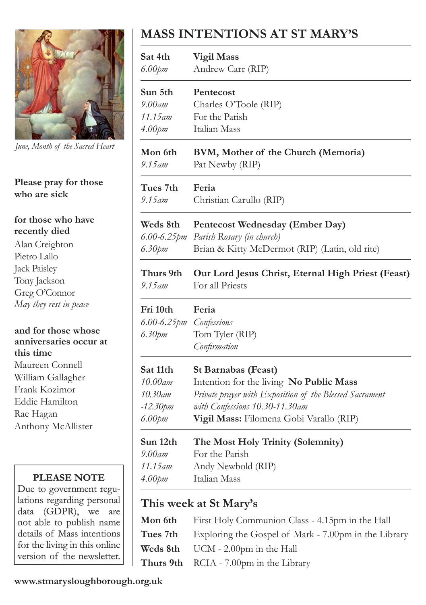

*June, Month of the Sacred Heart*

#### **Please pray for those who are sick**

#### **for those who have recently died**

Alan Creighton Pietro Lallo Jack Paisley Tony Jackson Greg O'Connor *May they rest in peace*

**and for those whose anniversaries occur at this time** Maureen Connell William Gallagher Frank Kozimor Eddie Hamilton Rae Hagan Anthony McAllister

#### **PLEASE NOTE**

Due to government regulations regarding personal data (GDPR), we are not able to publish name details of Mass intentions for the living in this online version of the newsletter.

# **MASS INTENTIONS AT ST MARY'S**

| Sat 4th<br>6.00pm       | <b>Vigil Mass</b><br>Andrew Carr (RIP)                  |
|-------------------------|---------------------------------------------------------|
| Sun 5th                 | Pentecost                                               |
| $9.00$ am               | Charles O'Toole (RIP)                                   |
| 11.15 am                | For the Parish                                          |
| 4.00pm                  | Italian Mass                                            |
| Mon 6th                 | BVM, Mother of the Church (Memoria)                     |
| $9.15$ am               | Pat Newby (RIP)                                         |
| Tues 7th                | Feria                                                   |
| $9.15$ am               | Christian Carullo (RIP)                                 |
| Weds 8th                | Pentecost Wednesday (Ember Day)                         |
| $6.00 - 6.25$ <i>pm</i> | Parish Rosary (in church)                               |
| 6.30pm                  | Brian & Kitty McDermot (RIP) (Latin, old rite)          |
| Thurs 9th               | Our Lord Jesus Christ, Eternal High Priest (Feast)      |
| $9.15$ am               | For all Priests                                         |
| Fri 10th                | Feria                                                   |
| $6.00 - 6.25$ pm        | Confessions                                             |
| 6.30pm                  | Tom Tyler (RIP)                                         |
|                         | Confirmation                                            |
| Sat 11th                | <b>St Barnabas (Feast)</b>                              |
| 10.00am                 | Intention for the living No Public Mass                 |
| 10.30am                 | Private prayer with Exposition of the Blessed Sacrament |
| -12.30pm                | with Confessions 10.30-11.30am                          |
| $6.00$ pm               | Vigil Mass: Filomena Gobi Varallo (RIP)                 |
| Sun 12th                | The Most Holy Trinity (Solemnity)                       |
| $9.00$ am               | For the Parish                                          |
| 11.15 am                | Andy Newbold (RIP)                                      |
| 4.00pm                  | Italian Mass                                            |

# **This week at St Mary's**

| <b>Mon 6th</b> First Holy Communion Class - 4.15pm in the Hall       |
|----------------------------------------------------------------------|
| <b>Tues 7th</b> Exploring the Gospel of Mark - 7.00pm in the Library |
| <b>Weds 8th</b> UCM - 2.00pm in the Hall                             |
| Thurs 9th RCIA - 7.00pm in the Library                               |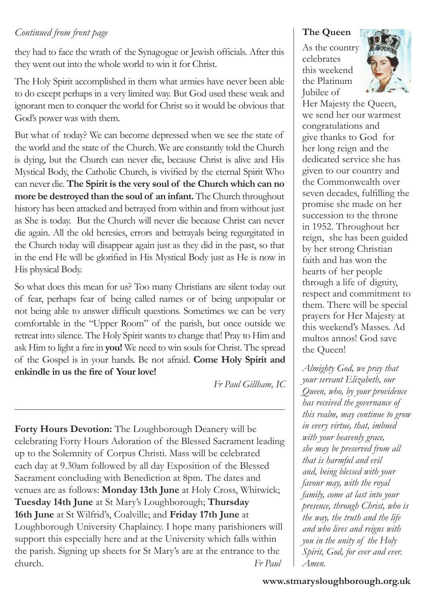#### *Continued from front page*

they had to face the wrath of the Synagogue or Jewish officials. After this they went out into the whole world to win it for Christ.

The Holy Spirit accomplished in them what armies have never been able to do except perhaps in a very limited way. But God used these weak and ignorant men to conquer the world for Christ so it would be obvious that God's power was with them.

But what of today? We can become depressed when we see the state of the world and the state of the Church. We are constantly told the Church is dying, but the Church can never die, because Christ is alive and His Mystical Body, the Catholic Church, is vivified by the eternal Spirit Who can never die. **The Spirit is the very soul of the Church which can no more be destroyed than the soul of an infant.** The Church throughout history has been attacked and betrayed from within and from without just as She is today. But the Church will never die because Christ can never die again. All the old heresies, errors and betrayals being regurgitated in the Church today will disappear again just as they did in the past, so that in the end He will be glorified in His Mystical Body just as He is now in His physical Body.

So what does this mean for us? Too many Christians are silent today out of fear, perhaps fear of being called names or of being unpopular or not being able to answer difficult questions. Sometimes we can be very comfortable in the "Upper Room" of the parish, but once outside we retreat into silence. The Holy Spirit wants to change that! Pray to Him and ask Him to light a fire in **you!** We need to win souls for Christ. The spread of the Gospel is in your hands. Be not afraid. **Come Holy Spirit and enkindle in us the fire of Your love!**

*Fr Paul Gillham, IC*

**Forty Hours Devotion:** The Loughborough Deanery will be celebrating Forty Hours Adoration of the Blessed Sacrament leading up to the Solemnity of Corpus Christi. Mass will be celebrated each day at 9.30am followed by all day Exposition of the Blessed Sacrament concluding with Benediction at 8pm. The dates and venues are as follows: **Monday 13th June** at Holy Cross, Whitwick; **Tuesday 14th June** at St Mary's Loughborough; **Thursday 16th June** at St Wilfrid's, Coalville; and **Friday 17th June** at Loughborough University Chaplaincy. I hope many parishioners will support this especially here and at the University which falls within the parish. Signing up sheets for St Mary's are at the entrance to the church. *Fr Paul*

#### **The Queen**

As the country celebrates this weekend the Platinum Jubilee of



Her Majesty the Queen, we send her our warmest congratulations and give thanks to God for her long reign and the dedicated service she has given to our country and the Commonwealth over seven decades, fulfilling the promise she made on her succession to the throne in 1952. Throughout her reign, she has been guided by her strong Christian faith and has won the hearts of her people through a life of dignity, respect and commitment to them. There will be special prayers for Her Majesty at this weekend's Masses. Ad multos annos! God save the Queen!

*Almighty God, we pray that your servant Elizabeth, our Queen, who, by your providence has received the governance of this realm, may continue to grow in every virtue, that, imbued with your heavenly grace, she may be preserved from all that is harmful and evil and, being blessed with your favour may, with the royal family, come at last into your presence, through Christ, who is the way, the truth and the life and who lives and reigns with you in the unity of the Holy Spirit, God, for ever and ever. Amen.*